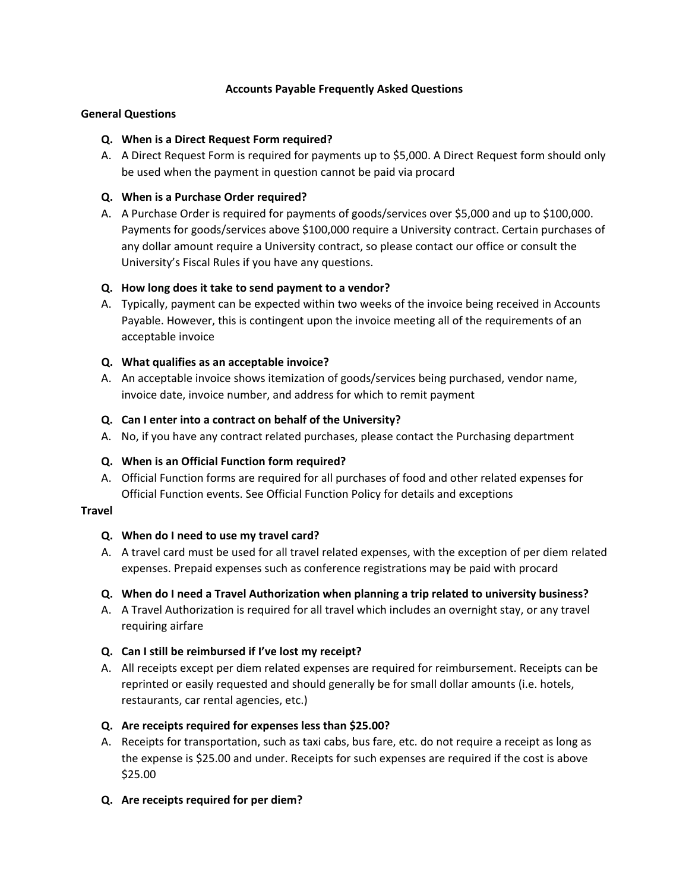# **Accounts Payable Frequently Asked Questions**

### **General Questions**

### **Q. When is a Direct Request Form required?**

A. A Direct Request Form is required for payments up to \$5,000. A Direct Request form should only be used when the payment in question cannot be paid via procard

### **Q. When is a Purchase Order required?**

A. A Purchase Order is required for payments of goods/services over \$5,000 and up to \$100,000. Payments for goods/services above \$100,000 require a University contract. Certain purchases of any dollar amount require a University contract, so please contact our office or consult the University's Fiscal Rules if you have any questions.

### **Q. How long does it take to send payment to a vendor?**

A. Typically, payment can be expected within two weeks of the invoice being received in Accounts Payable. However, this is contingent upon the invoice meeting all of the requirements of an acceptable invoice

### **Q. What qualifies as an acceptable invoice?**

A. An acceptable invoice shows itemization of goods/services being purchased, vendor name, invoice date, invoice number, and address for which to remit payment

### **Q. Can I enter into a contract on behalf of the University?**

A. No, if you have any contract related purchases, please contact the Purchasing department

# **Q. When is an Official Function form required?**

A. Official Function forms are required for all purchases of food and other related expenses for Official Function events. See Official Function Policy for details and exceptions

#### **Travel**

# **Q. When do I need to use my travel card?**

A. A travel card must be used for all travel related expenses, with the exception of per diem related expenses. Prepaid expenses such as conference registrations may be paid with procard

# **Q. When do I need a Travel Authorization when planning a trip related to university business?**

A. A Travel Authorization is required for all travel which includes an overnight stay, or any travel requiring airfare

# **Q. Can I still be reimbursed if I've lost my receipt?**

A. All receipts except per diem related expenses are required for reimbursement. Receipts can be reprinted or easily requested and should generally be for small dollar amounts (i.e. hotels, restaurants, car rental agencies, etc.)

# **Q. Are receipts required for expenses less than \$25.00?**

A. Receipts for transportation, such as taxi cabs, bus fare, etc. do not require a receipt as long as the expense is \$25.00 and under. Receipts for such expenses are required if the cost is above \$25.00

# **Q. Are receipts required for per diem?**